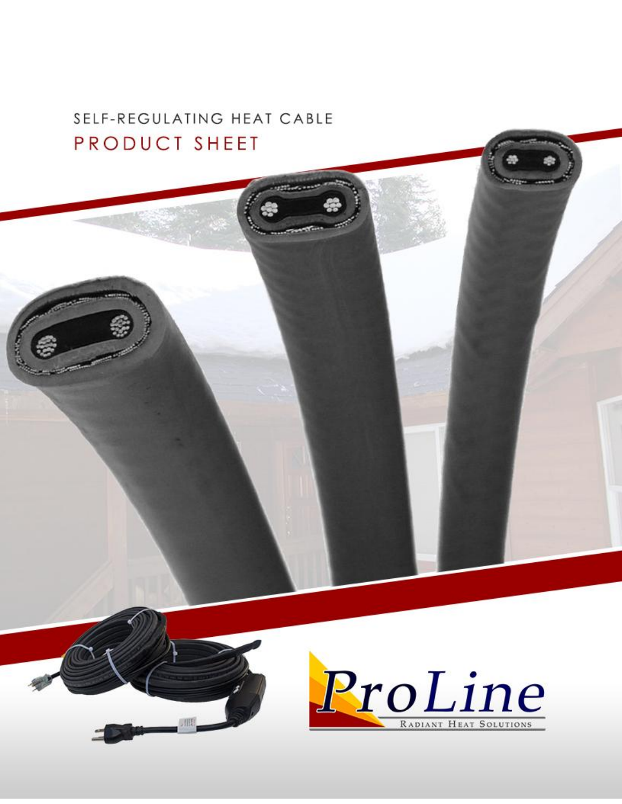## SELF-REGULATING HEAT CABLE PRODUCT SHEET

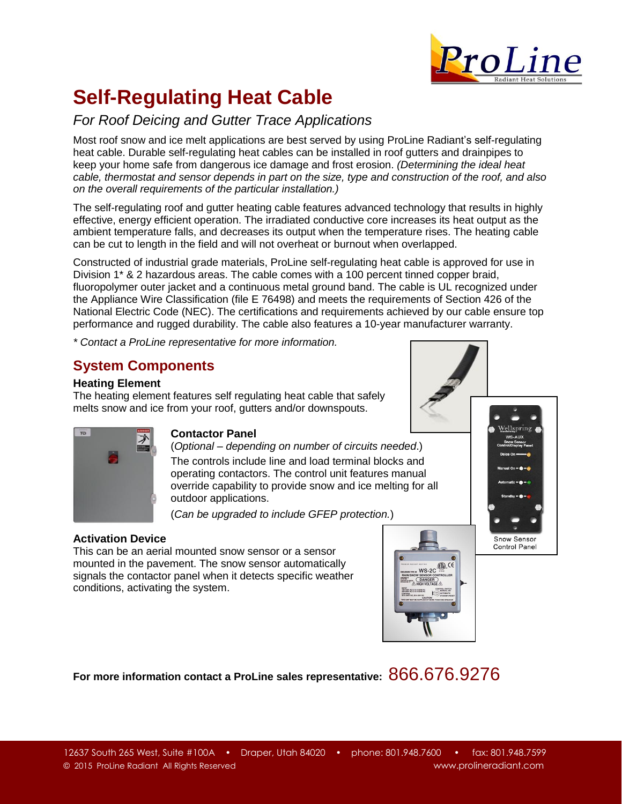

# **Self-Regulating Heat Cable**

### *For Roof Deicing and Gutter Trace Applications*

Most roof snow and ice melt applications are best served by using ProLine Radiant's self-regulating heat cable. Durable self-regulating heat cables can be installed in roof gutters and drainpipes to keep your home safe from dangerous ice damage and frost erosion. *(Determining the ideal heat cable, thermostat and sensor depends in part on the size, type and construction of the roof, and also on the overall requirements of the particular installation.)*

The self-regulating roof and gutter heating cable features advanced technology that results in highly effective, energy efficient operation. The irradiated conductive core increases its heat output as the ambient temperature falls, and decreases its output when the temperature rises. The heating cable can be cut to length in the field and will not overheat or burnout when overlapped.

Constructed of industrial grade materials, ProLine self-regulating heat cable is approved for use in Division 1\* & 2 hazardous areas. The cable comes with a 100 percent tinned copper braid, fluoropolymer outer jacket and a continuous metal ground band. The cable is UL recognized under the Appliance Wire Classification (file E 76498) and meets the requirements of Section 426 of the National Electric Code (NEC). The certifications and requirements achieved by our cable ensure top performance and rugged durability. The cable also features a 10-year manufacturer warranty.

*\* Contact a ProLine representative for more information.*

### **System Components**

#### **Heating Element**

The heating element features self regulating heat cable that safely melts snow and ice from your roof, gutters and/or downspouts.



### **Contactor Panel**

(*Optional – depending on number of circuits needed*.) The controls include line and load terminal blocks and operating contactors. The control unit features manual override capability to provide snow and ice melting for all outdoor applications.

(*Can be upgraded to include GFEP protection.*)

#### **Activation Device**

This can be an aerial mounted snow sensor or a sensor mounted in the pavement. The snow sensor automatically signals the contactor panel when it detects specific weather conditions, activating the system.



Snow Sensor Control Panel

**For more information contact a ProLine sales representative:** 866.676.9276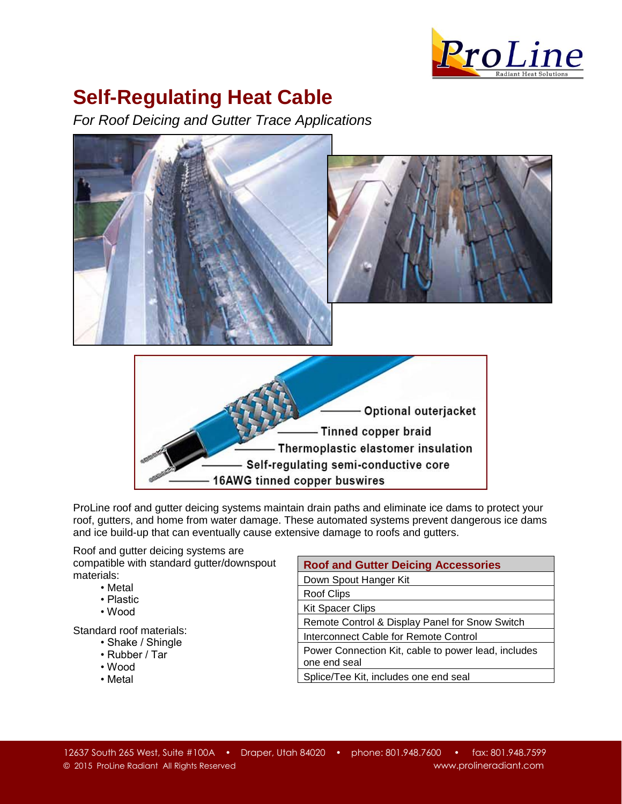

## **Self-Regulating Heat Cable**

*For Roof Deicing and Gutter Trace Applications*



ProLine roof and gutter deicing systems maintain drain paths and eliminate ice dams to protect your roof, gutters, and home from water damage. These automated systems prevent dangerous ice dams and ice build-up that can eventually cause extensive damage to roofs and gutters.

Roof and gutter deicing systems are compatible with standard gutter/downspout materials:

- Metal
- Plastic
- Wood

Standard roof materials:

- Shake / Shingle
- Rubber / Tar
- Wood
- Metal

| <b>Roof and Gutter Deicing Accessories</b>                          |  |  |  |  |  |  |  |
|---------------------------------------------------------------------|--|--|--|--|--|--|--|
| Down Spout Hanger Kit                                               |  |  |  |  |  |  |  |
| Roof Clips                                                          |  |  |  |  |  |  |  |
| <b>Kit Spacer Clips</b>                                             |  |  |  |  |  |  |  |
| Remote Control & Display Panel for Snow Switch                      |  |  |  |  |  |  |  |
| Interconnect Cable for Remote Control                               |  |  |  |  |  |  |  |
| Power Connection Kit, cable to power lead, includes<br>one end seal |  |  |  |  |  |  |  |
| Splice/Tee Kit, includes one end seal                               |  |  |  |  |  |  |  |
|                                                                     |  |  |  |  |  |  |  |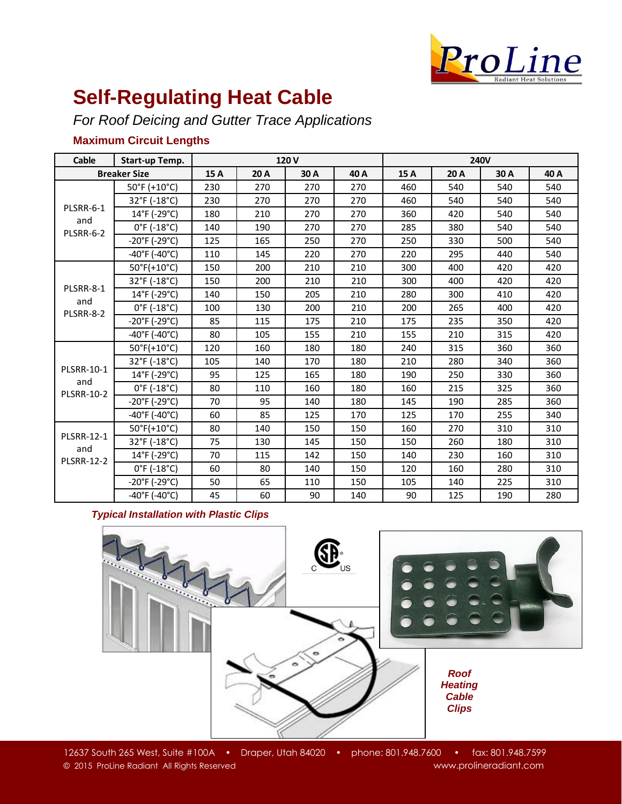

## **Self-Regulating Heat Cable**

*For Roof Deicing and Gutter Trace Applications*

### **Maximum Circuit Lengths**

| Cable                                         | Start-up Temp.                     | 120V |      |      |      | <b>240V</b> |      |      |      |
|-----------------------------------------------|------------------------------------|------|------|------|------|-------------|------|------|------|
| <b>Breaker Size</b>                           |                                    | 15 A | 20 A | 30 A | 40 A | 15A         | 20 A | 30 A | 40 A |
| PLSRR-6-1<br>and<br>PLSRR-6-2                 | 50°F (+10°C)                       | 230  | 270  | 270  | 270  | 460         | 540  | 540  | 540  |
|                                               | 32°F (-18°C)                       | 230  | 270  | 270  | 270  | 460         | 540  | 540  | 540  |
|                                               | 14°F (-29°C)                       | 180  | 210  | 270  | 270  | 360         | 420  | 540  | 540  |
|                                               | $0^{\circ}$ F (-18 $^{\circ}$ C)   | 140  | 190  | 270  | 270  | 285         | 380  | 540  | 540  |
|                                               | $-20^{\circ}$ F (-29 $^{\circ}$ C) | 125  | 165  | 250  | 270  | 250         | 330  | 500  | 540  |
|                                               | $-40^{\circ}$ F (-40°C)            | 110  | 145  | 220  | 270  | 220         | 295  | 440  | 540  |
| PLSRR-8-1<br>and<br>PLSRR-8-2                 | $50^{\circ}$ F(+10 $^{\circ}$ C)   | 150  | 200  | 210  | 210  | 300         | 400  | 420  | 420  |
|                                               | 32°F (-18°C)                       | 150  | 200  | 210  | 210  | 300         | 400  | 420  | 420  |
|                                               | 14°F (-29°C)                       | 140  | 150  | 205  | 210  | 280         | 300  | 410  | 420  |
|                                               | $0^{\circ}$ F (-18 $^{\circ}$ C)   | 100  | 130  | 200  | 210  | 200         | 265  | 400  | 420  |
|                                               | $-20^{\circ}$ F (-29 $^{\circ}$ C) | 85   | 115  | 175  | 210  | 175         | 235  | 350  | 420  |
|                                               | $-40^{\circ}$ F (-40°C)            | 80   | 105  | 155  | 210  | 155         | 210  | 315  | 420  |
| <b>PLSRR-10-1</b><br>and<br><b>PLSRR-10-2</b> | $50^{\circ}$ F(+10 $^{\circ}$ C)   | 120  | 160  | 180  | 180  | 240         | 315  | 360  | 360  |
|                                               | 32°F (-18°C)                       | 105  | 140  | 170  | 180  | 210         | 280  | 340  | 360  |
|                                               | 14°F (-29°C)                       | 95   | 125  | 165  | 180  | 190         | 250  | 330  | 360  |
|                                               | $0^{\circ}$ F (-18 $^{\circ}$ C)   | 80   | 110  | 160  | 180  | 160         | 215  | 325  | 360  |
|                                               | $-20^{\circ}$ F (-29 $^{\circ}$ C) | 70   | 95   | 140  | 180  | 145         | 190  | 285  | 360  |
|                                               | $-40^{\circ}$ F (-40°C)            | 60   | 85   | 125  | 170  | 125         | 170  | 255  | 340  |
| <b>PLSRR-12-1</b><br>and<br><b>PLSRR-12-2</b> | $50^{\circ}$ F(+10 $^{\circ}$ C)   | 80   | 140  | 150  | 150  | 160         | 270  | 310  | 310  |
|                                               | 32°F (-18°C)                       | 75   | 130  | 145  | 150  | 150         | 260  | 180  | 310  |
|                                               | 14°F (-29°C)                       | 70   | 115  | 142  | 150  | 140         | 230  | 160  | 310  |
|                                               | $0^{\circ}$ F (-18 $^{\circ}$ C)   | 60   | 80   | 140  | 150  | 120         | 160  | 280  | 310  |
|                                               | $-20^{\circ}$ F (-29 $^{\circ}$ C) | 50   | 65   | 110  | 150  | 105         | 140  | 225  | 310  |
|                                               | $-40^{\circ}$ F ( $-40^{\circ}$ C) | 45   | 60   | 90   | 140  | 90          | 125  | 190  | 280  |

#### *Typical Installation with Plastic Clips*